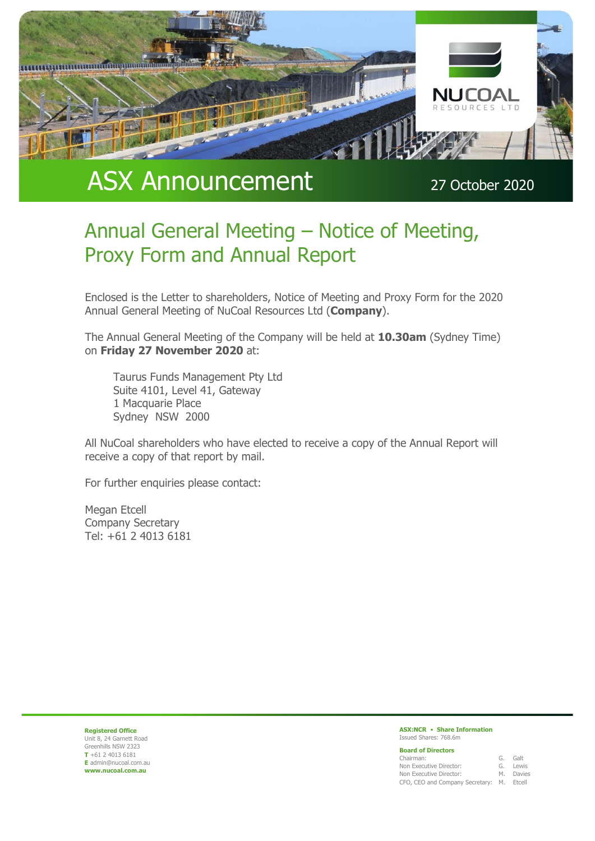

# ASX Announcement 27 October 2020

# Annual General Meeting – Notice of Meeting, Proxy Form and Annual Report

Enclosed is the Letter to shareholders, Notice of Meeting and Proxy Form for the 2020 Annual General Meeting of NuCoal Resources Ltd (**Company**).

The Annual General Meeting of the Company will be held at **10.30am** (Sydney Time) on **Friday 27 November 2020** at:

Taurus Funds Management Pty Ltd Suite 4101, Level 41, Gateway 1 Macquarie Place Sydney NSW 2000

All NuCoal shareholders who have elected to receive a copy of the Annual Report will receive a copy of that report by mail.

For further enquiries please contact:

Megan Etcell Company Secretary Tel: +61 2 4013 6181

**Registered Office** Unit 8, 24 Garnett Road Greenhills NSW 2323 **T** +61 2 4013 6181 **E** admin@nucoal.com.au **www.nucoal.com.au**

#### **ASX:NCR** • **Share Information** Issued Shares: 768.6m

| <b>Board of Directors</b>                 |           |
|-------------------------------------------|-----------|
| Chairman:                                 | G. Galt   |
| Non Executive Director:                   | G. Lewis  |
| Non Executive Director:                   | M. Davies |
| CFO, CEO and Company Secretary: M. Etcell |           |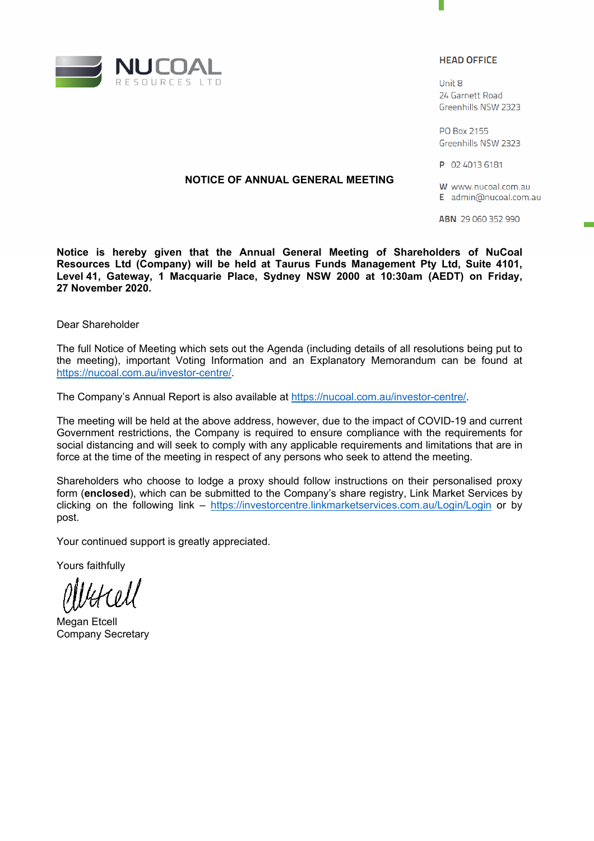

#### **HEAD OFFICE**

Linit 8 24 Garnett Road Greenhills NSW 2323

PO Box 2155 Greenhills NSW 2323

P 02 4013 6181

### **NOTICE OF ANNUAL GENERAL MEETING**

W www.nucoal.com.au E admin@nucoal.com.au

ABN 29 060 352 990

**Notice is hereby given that the Annual General Meeting of Shareholders of NuCoal Resources Ltd (Company) will be held at Taurus Funds Management Pty Ltd, Suite 4101, Level 41, Gateway, 1 Macquarie Place, Sydney NSW 2000 at 10:30am (AEDT) on Friday, 27 November 2020.** 

Dear Shareholder

The full Notice of Meeting which sets out the Agenda (including details of all resolutions being put to the meeting), important Voting Information and an Explanatory Memorandum can be found at https://nucoal.com.au/investor-centre/.

The Company's Annual Report is also available at https://nucoal.com.au/investor-centre/.

The meeting will be held at the above address, however, due to the impact of COVID-19 and current Government restrictions, the Company is required to ensure compliance with the requirements for social distancing and will seek to comply with any applicable requirements and limitations that are in force at the time of the meeting in respect of any persons who seek to attend the meeting.

Shareholders who choose to lodge a proxy should follow instructions on their personalised proxy form (**enclosed**), which can be submitted to the Company's share registry, Link Market Services by clicking on the following link – https://investorcentre.linkmarketservices.com.au/Login/Login or by post.

Your continued support is greatly appreciated.

Yours faithfully

Megan Etcell Company Secretary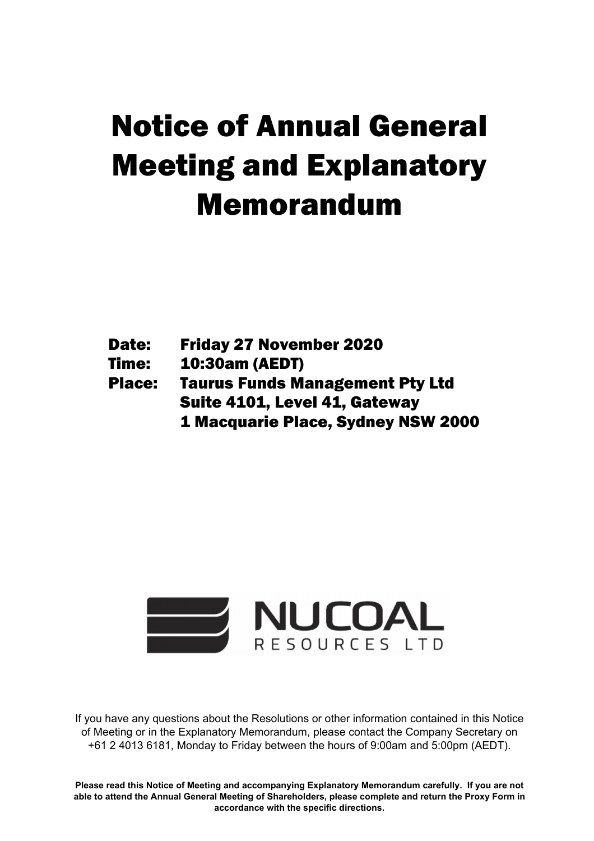# Meeting and Explanatory Notice of Annual General Memorandum

- Friday 27 November 2020<br>10:30am (AEDT) Date: Friday 27 November 2020
- Time: 10:30am (AEDT)

Place: Taurus Funds Management Pty Ltd Suite 4101, Level 41, Gateway 1 Macquarie Place, Sydney NSW 2000



If you have any questions about the Resolutions or other information contained in this Notice of Meeting or in the Explanatory Memorandum, please contact the Company Secretary on +61 2 4013 6181, Monday to Friday between the hours of 9:00am and 5:00pm (AEDT).

**Please read this Notice of Meeting and accompanying Explanatory Memorandum carefully. If you are not able to attend the Annual General Meeting of Shareholders, please complete and return the Proxy Form in accordance with the specific directions.**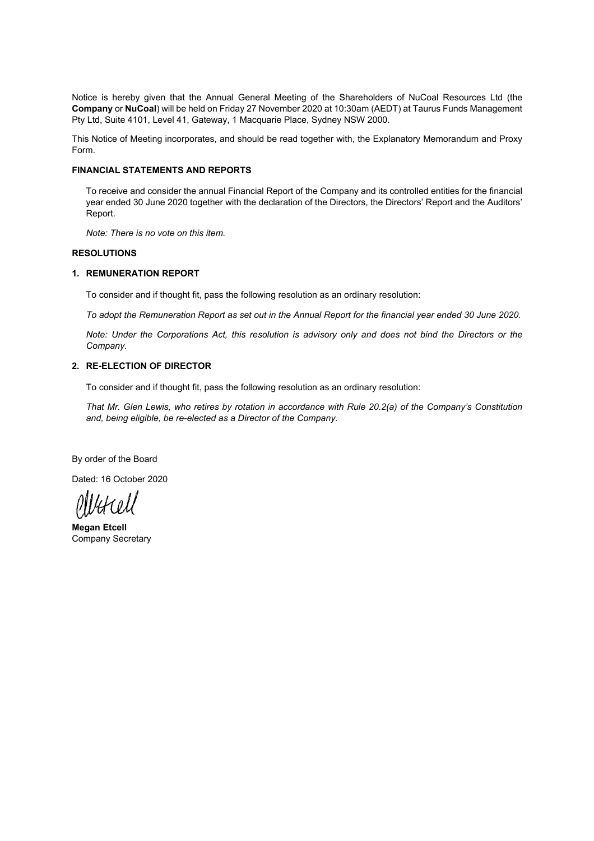Notice is hereby given that the Annual General Meeting of the Shareholders of NuCoal Resources Ltd (the **Company** or **NuCoal**) will be held on Friday 27 November 2020 at 10:30am (AEDT) at Taurus Funds Management Pty Ltd, Suite 4101, Level 41, Gateway, 1 Macquarie Place, Sydney NSW 2000.

This Notice of Meeting incorporates, and should be read together with, the Explanatory Memorandum and Proxy Form.

#### **FINANCIAL STATEMENTS AND REPORTS**

To receive and consider the annual Financial Report of the Company and its controlled entities for the financial year ended 30 June 2020 together with the declaration of the Directors, the Directors' Report and the Auditors' Report.

*Note: There is no vote on this item.* 

#### **RESOLUTIONS**

#### **1. REMUNERATION REPORT**

To consider and if thought fit, pass the following resolution as an ordinary resolution:

*To adopt the Remuneration Report as set out in the Annual Report for the financial year ended 30 June 2020.* 

*Note: Under the Corporations Act, this resolution is advisory only and does not bind the Directors or the Company.*

#### **2. RE-ELECTION OF DIRECTOR**

To consider and if thought fit, pass the following resolution as an ordinary resolution:

*That Mr. Glen Lewis, who retires by rotation in accordance with Rule 20.2(a) of the Company's Constitution and, being eligible, be re-elected as a Director of the Company.* 

By order of the Board

Dated: 16 October 2020

Verell

**Megan Etcell**  Company Secretary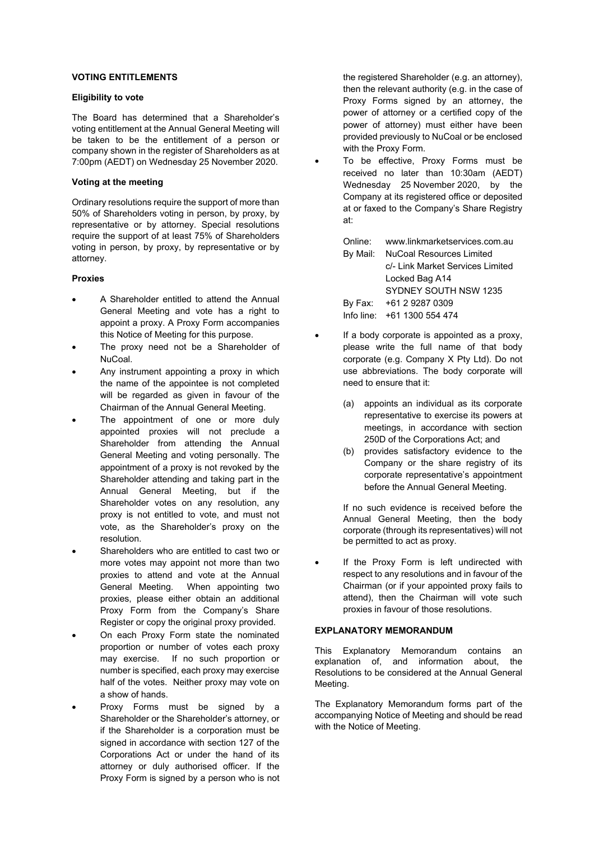#### **VOTING ENTITLEMENTS**

#### **Eligibility to vote**

The Board has determined that a Shareholder's voting entitlement at the Annual General Meeting will be taken to be the entitlement of a person or company shown in the register of Shareholders as at 7:00pm (AEDT) on Wednesday 25 November 2020.

#### **Voting at the meeting**

Ordinary resolutions require the support of more than 50% of Shareholders voting in person, by proxy, by representative or by attorney. Special resolutions require the support of at least 75% of Shareholders voting in person, by proxy, by representative or by attorney.

#### **Proxies**

- A Shareholder entitled to attend the Annual General Meeting and vote has a right to appoint a proxy. A Proxy Form accompanies this Notice of Meeting for this purpose.
- The proxy need not be a Shareholder of NuCoal.
- Any instrument appointing a proxy in which the name of the appointee is not completed will be regarded as given in favour of the Chairman of the Annual General Meeting.
- The appointment of one or more duly appointed proxies will not preclude a Shareholder from attending the Annual General Meeting and voting personally. The appointment of a proxy is not revoked by the Shareholder attending and taking part in the Annual General Meeting, but if the Shareholder votes on any resolution, any proxy is not entitled to vote, and must not vote, as the Shareholder's proxy on the resolution.
- Shareholders who are entitled to cast two or more votes may appoint not more than two proxies to attend and vote at the Annual General Meeting. When appointing two proxies, please either obtain an additional Proxy Form from the Company's Share Register or copy the original proxy provided.
- On each Proxy Form state the nominated proportion or number of votes each proxy may exercise. If no such proportion or number is specified, each proxy may exercise half of the votes. Neither proxy may vote on a show of hands.
- Proxy Forms must be signed by a Shareholder or the Shareholder's attorney, or if the Shareholder is a corporation must be signed in accordance with section 127 of the Corporations Act or under the hand of its attorney or duly authorised officer. If the Proxy Form is signed by a person who is not

the registered Shareholder (e.g. an attorney), then the relevant authority (e.g. in the case of Proxy Forms signed by an attorney, the power of attorney or a certified copy of the power of attorney) must either have been provided previously to NuCoal or be enclosed with the Proxy Form.

 To be effective, Proxy Forms must be received no later than 10:30am (AEDT) Wednesday 25 November 2020, by the Company at its registered office or deposited at or faxed to the Company's Share Registry at:

| Online: www.linkmarketservices.com.au |  |  |
|---------------------------------------|--|--|
| By Mail:  NuCoal Resources Limited    |  |  |
| c/- Link Market Services Limited      |  |  |
| Locked Bag A14                        |  |  |
| SYDNEY SOUTH NSW 1235                 |  |  |
| By Fax: +61 2 9287 0309               |  |  |
| Info line: +61 1300 554 474           |  |  |

- If a body corporate is appointed as a proxy, please write the full name of that body corporate (e.g. Company X Pty Ltd). Do not use abbreviations. The body corporate will need to ensure that it:
	- (a) appoints an individual as its corporate representative to exercise its powers at meetings, in accordance with section 250D of the Corporations Act; and
	- (b) provides satisfactory evidence to the Company or the share registry of its corporate representative's appointment before the Annual General Meeting.

If no such evidence is received before the Annual General Meeting, then the body corporate (through its representatives) will not be permitted to act as proxy.

 If the Proxy Form is left undirected with respect to any resolutions and in favour of the Chairman (or if your appointed proxy fails to attend), then the Chairman will vote such proxies in favour of those resolutions.

#### **EXPLANATORY MEMORANDUM**

This Explanatory Memorandum contains an explanation of, and information about, the Resolutions to be considered at the Annual General Meeting.

The Explanatory Memorandum forms part of the accompanying Notice of Meeting and should be read with the Notice of Meeting.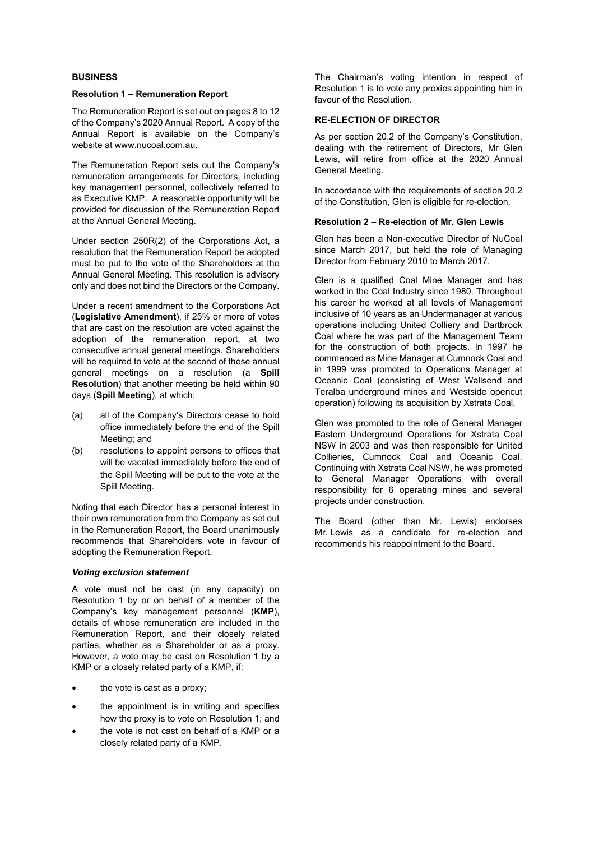#### **BUSINESS**

#### **Resolution 1 – Remuneration Report**

The Remuneration Report is set out on pages 8 to 12 of the Company's 2020 Annual Report. A copy of the Annual Report is available on the Company's website at www.nucoal.com.au.

The Remuneration Report sets out the Company's remuneration arrangements for Directors, including key management personnel, collectively referred to as Executive KMP. A reasonable opportunity will be provided for discussion of the Remuneration Report at the Annual General Meeting.

Under section 250R(2) of the Corporations Act, a resolution that the Remuneration Report be adopted must be put to the vote of the Shareholders at the Annual General Meeting. This resolution is advisory only and does not bind the Directors or the Company.

Under a recent amendment to the Corporations Act (**Legislative Amendment**), if 25% or more of votes that are cast on the resolution are voted against the adoption of the remuneration report, at two consecutive annual general meetings, Shareholders will be required to vote at the second of these annual general meetings on a resolution (a **Spill Resolution**) that another meeting be held within 90 days (**Spill Meeting**), at which:

- (a) all of the Company's Directors cease to hold office immediately before the end of the Spill Meeting; and
- (b) resolutions to appoint persons to offices that will be vacated immediately before the end of the Spill Meeting will be put to the vote at the Spill Meeting.

Noting that each Director has a personal interest in their own remuneration from the Company as set out in the Remuneration Report, the Board unanimously recommends that Shareholders vote in favour of adopting the Remuneration Report.

#### *Voting exclusion statement*

A vote must not be cast (in any capacity) on Resolution 1 by or on behalf of a member of the Company's key management personnel (**KMP**), details of whose remuneration are included in the Remuneration Report, and their closely related parties, whether as a Shareholder or as a proxy. However, a vote may be cast on Resolution 1 by a KMP or a closely related party of a KMP, if:

- the vote is cast as a proxy;
- the appointment is in writing and specifies how the proxy is to vote on Resolution 1; and
- the vote is not cast on behalf of a KMP or a closely related party of a KMP.

The Chairman's voting intention in respect of Resolution 1 is to vote any proxies appointing him in favour of the Resolution.

#### **RE-ELECTION OF DIRECTOR**

As per section 20.2 of the Company's Constitution, dealing with the retirement of Directors, Mr Glen Lewis, will retire from office at the 2020 Annual General Meeting.

In accordance with the requirements of section 20.2 of the Constitution, Glen is eligible for re-election.

#### **Resolution 2 – Re-election of Mr. Glen Lewis**

Glen has been a Non-executive Director of NuCoal since March 2017, but held the role of Managing Director from February 2010 to March 2017.

Glen is a qualified Coal Mine Manager and has worked in the Coal Industry since 1980. Throughout his career he worked at all levels of Management inclusive of 10 years as an Undermanager at various operations including United Colliery and Dartbrook Coal where he was part of the Management Team for the construction of both projects. In 1997 he commenced as Mine Manager at Cumnock Coal and in 1999 was promoted to Operations Manager at Oceanic Coal (consisting of West Wallsend and Teralba underground mines and Westside opencut operation) following its acquisition by Xstrata Coal.

Glen was promoted to the role of General Manager Eastern Underground Operations for Xstrata Coal NSW in 2003 and was then responsible for United Collieries, Cumnock Coal and Oceanic Coal. Continuing with Xstrata Coal NSW, he was promoted to General Manager Operations with overall responsibility for 6 operating mines and several projects under construction.

The Board (other than Mr. Lewis) endorses Mr. Lewis as a candidate for re-election and recommends his reappointment to the Board.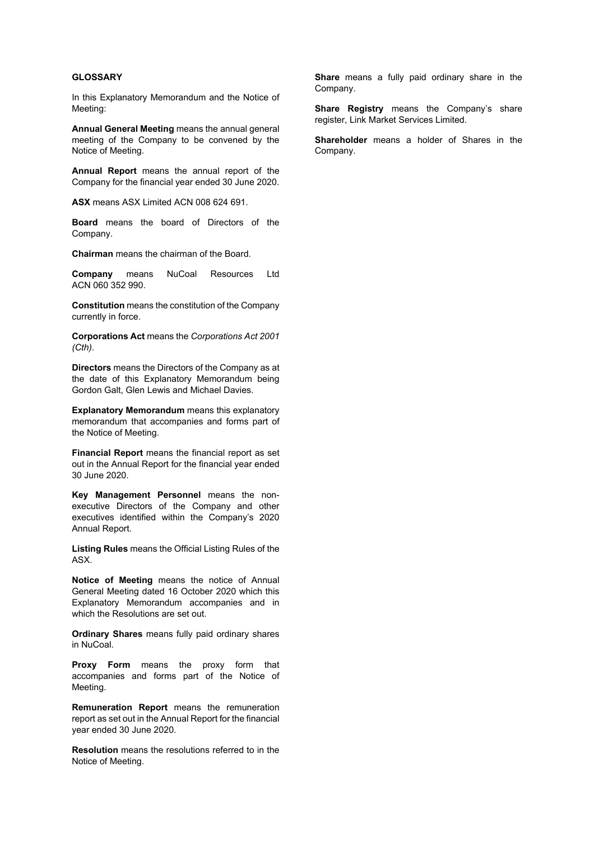#### **GLOSSARY**

In this Explanatory Memorandum and the Notice of Meeting:

**Annual General Meeting** means the annual general meeting of the Company to be convened by the Notice of Meeting.

**Annual Report** means the annual report of the Company for the financial year ended 30 June 2020.

**ASX** means ASX Limited ACN 008 624 691.

**Board** means the board of Directors of the Company.

**Chairman** means the chairman of the Board.

**Company** means NuCoal Resources Ltd ACN 060 352 990.

**Constitution** means the constitution of the Company currently in force.

**Corporations Act** means the *Corporations Act 2001 (Cth)*.

**Directors** means the Directors of the Company as at the date of this Explanatory Memorandum being Gordon Galt, Glen Lewis and Michael Davies.

**Explanatory Memorandum** means this explanatory memorandum that accompanies and forms part of the Notice of Meeting.

**Financial Report** means the financial report as set out in the Annual Report for the financial year ended 30 June 2020.

**Key Management Personnel** means the nonexecutive Directors of the Company and other executives identified within the Company's 2020 Annual Report.

**Listing Rules** means the Official Listing Rules of the ASX.

**Notice of Meeting** means the notice of Annual General Meeting dated 16 October 2020 which this Explanatory Memorandum accompanies and in which the Resolutions are set out.

**Ordinary Shares** means fully paid ordinary shares in NuCoal.

**Proxy Form** means the proxy form that accompanies and forms part of the Notice of Meeting.

**Remuneration Report** means the remuneration report as set out in the Annual Report for the financial year ended 30 June 2020.

**Resolution** means the resolutions referred to in the Notice of Meeting.

**Share** means a fully paid ordinary share in the Company.

**Share Registry** means the Company's share register, Link Market Services Limited.

**Shareholder** means a holder of Shares in the Company.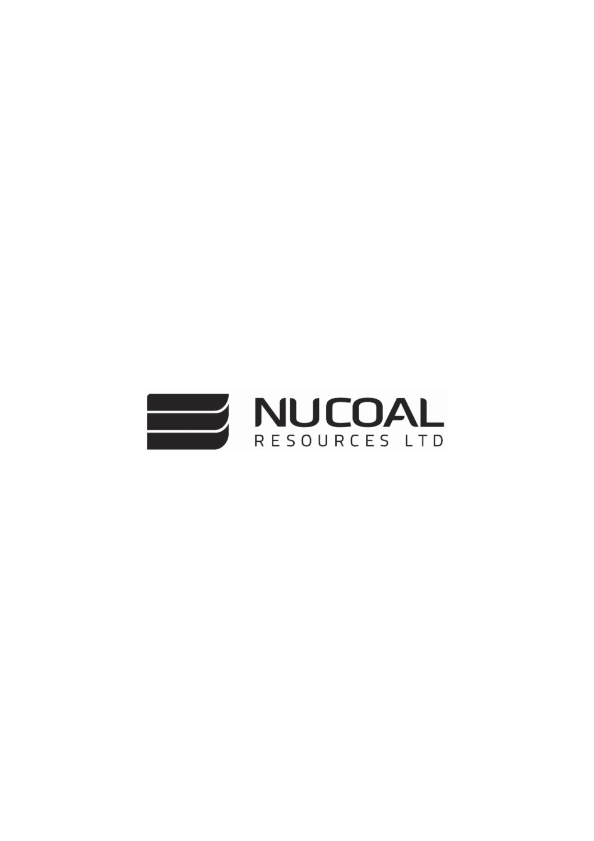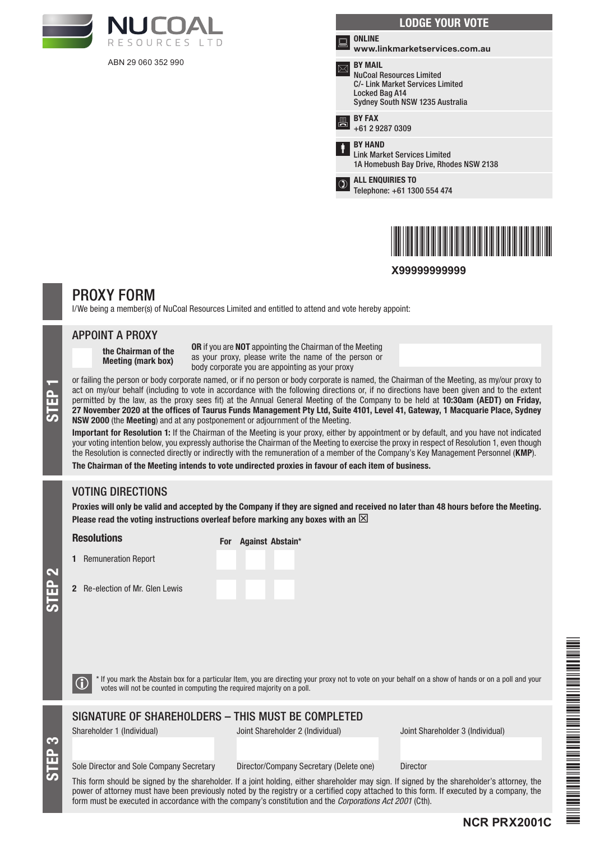

ABN 29 060 352 990

|   | <b>LODGE YOUR VOTE</b>                                                                                                                     |
|---|--------------------------------------------------------------------------------------------------------------------------------------------|
| ਛ | <b>ONLINE</b><br>www.linkmarketservices.com.au                                                                                             |
|   | <b>BY MAIL</b><br><b>NuCoal Resources Limited</b><br>C/- Link Market Services Limited<br>Locked Bag A14<br>Sydney South NSW 1235 Australia |
| 昌 | <b>BY FAX</b><br>+61 2 9287 0309                                                                                                           |
| Ť | <b>BY HAND</b><br><b>Link Market Services Limited</b><br>1A Homebush Bay Drive, Rhodes NSW 2138                                            |
|   | <b>ALL ENQUIRIES TO</b><br>Telephone: +61 1300 554 474                                                                                     |
|   |                                                                                                                                            |



**X99999999999**

# PROXY FORM

I/We being a member(s) of NuCoal Resources Limited and entitled to attend and vote hereby appoint:

#### APPOINT A PROXY

the Chairman of the Meeting (mark box)

OR if you are NOT appointing the Chairman of the Meeting as your proxy, please write the name of the person or body corporate you are appointing as your proxy

or failing the person or body corporate named, or if no person or body corporate is named, the Chairman of the Meeting, as my/our proxy to<br>act on my/our behalf (including to vote in accordance with the following directions act on my/our behalf (including to vote in accordance with the following directions or, if no directions have been given and to the extent permitted by the law, as the proxy sees fit) at the Annual General Meeting of the Company to be held at 10:30am (AEDT) on Friday, NSW 2000 (the Meeting) and at any postponement or adjournment of the Meeting.

Important for Resolution 1: If the Chairman of the Meeting is your proxy, either by appointment or by default, and you have not indicated your voting intention below, you expressly authorise the Chairman of the Meeting to exercise the proxy in respect of Resolution 1, even though the Resolution is connected directly or indirectly with the remuneration of a member of the Company's Key Management Personnel (KMP).

The Chairman of the Meeting intends to vote undirected proxies in favour of each item of business.

# VOTING DIRECTIONS

Proxies will only be valid and accepted by the Company if they are signed and received no later than 48 hours before the Meeting. Please read the voting instructions overleaf before marking any boxes with an  $\boxtimes$ 

#### **Resolutions**

1 Remuneration Report

2 Re-election of Mr. Gle

|         | For Against Abstain' |  |
|---------|----------------------|--|
|         |                      |  |
|         |                      |  |
| n Lewis |                      |  |

STEP 3

 $\bigcirc$  \* If you mark the Abstain box for a particular Item, you are directing your proxy not to vote on your behalf on a show of hands or on a poll and your votes will not be counted in computing the required majority on a

SIGNATURE OF SHAREHOLDERS – THIS MUST BE COMPLETED

Shareholder 1 (Individual) Joint Shareholder 2 (Individual) Joint Shareholder 3 (Individual)

**NCR PRX2001C**

#### Sole Director and Sole Company Secretary Director/Company Secretary (Delete one) Director

This form should be signed by the shareholder. If a joint holding, either shareholder may sign. If signed by the shareholder's attorney, the power of attorney must have been previously noted by the registry or a certified copy attached to this form. If executed by a company, the form must be executed in accordance with the company's constitution and the *Corporations Act 2001* (Cth).

\*NCR PRODUCT | ANN DE STATE | ANN DE STATE | ANN DE STATE | ANN DE STATE | ANN DE STATE | ANN DE STATE | ANN D